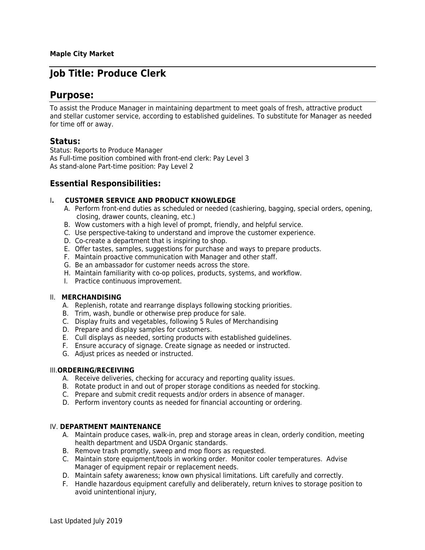# **Job Title: Produce Clerk**

# **Purpose:**

To assist the Produce Manager in maintaining department to meet goals of fresh, attractive product and stellar customer service, according to established guidelines. To substitute for Manager as needed for time off or away.

## **Status:**

Status: Reports to Produce Manager As Full-time position combined with front-end clerk: Pay Level 3 As stand-alone Part-time position: Pay Level 2

## **Essential Responsibilities:**

### I**. CUSTOMER SERVICE AND PRODUCT KNOWLEDGE**

- A. Perform front-end duties as scheduled or needed (cashiering, bagging, special orders, opening, closing, drawer counts, cleaning, etc.)
- B. Wow customers with a high level of prompt, friendly, and helpful service.
- C. Use perspective-taking to understand and improve the customer experience.
- D. Co-create a department that is inspiring to shop.
- E. Offer tastes, samples, suggestions for purchase and ways to prepare products.
- F. Maintain proactive communication with Manager and other staff.
- G. Be an ambassador for customer needs across the store.
- H. Maintain familiarity with co-op polices, products, systems, and workflow.
- I. Practice continuous improvement.

#### II. **MERCHANDISING**

- A. Replenish, rotate and rearrange displays following stocking priorities.
- B. Trim, wash, bundle or otherwise prep produce for sale.
- C. Display fruits and vegetables, following 5 Rules of Merchandising
- D. Prepare and display samples for customers.
- E. Cull displays as needed, sorting products with established guidelines.
- F. Ensure accuracy of signage. Create signage as needed or instructed.
- G. Adjust prices as needed or instructed.

#### III.**ORDERING/RECEIVING**

- A. Receive deliveries, checking for accuracy and reporting quality issues.
- B. Rotate product in and out of proper storage conditions as needed for stocking.
- C. Prepare and submit credit requests and/or orders in absence of manager.
- D. Perform inventory counts as needed for financial accounting or ordering.

#### IV. **DEPARTMENT MAINTENANCE**

- A. Maintain produce cases, walk-in, prep and storage areas in clean, orderly condition, meeting health department and USDA Organic standards.
- B. Remove trash promptly, sweep and mop floors as requested.
- C. Maintain store equipment/tools in working order. Monitor cooler temperatures. Advise Manager of equipment repair or replacement needs.
- D. Maintain safety awareness; know own physical limitations. Lift carefully and correctly.
- F. Handle hazardous equipment carefully and deliberately, return knives to storage position to avoid unintentional injury,